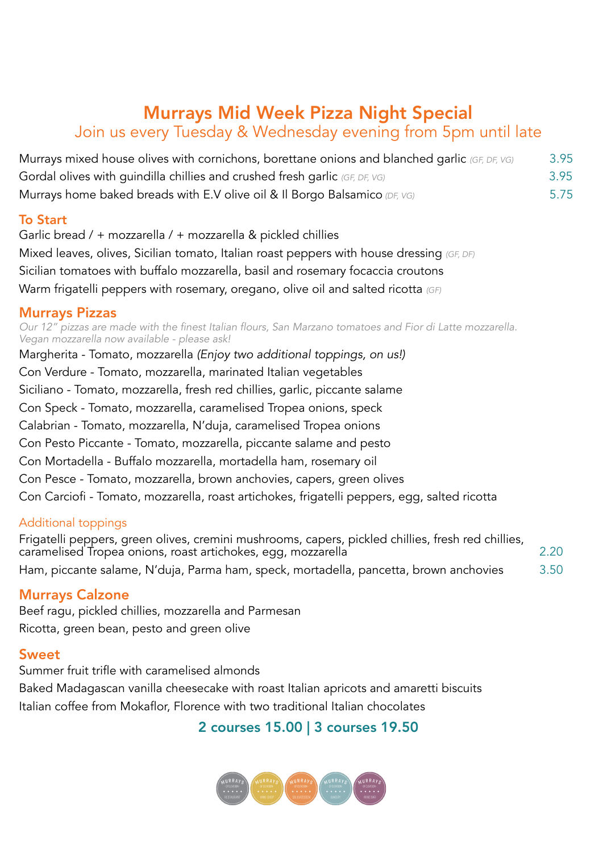# Murrays Mid Week Pizza Night Special

## Join us every Tuesday & Wednesday evening from 5pm until late

| Murrays mixed house olives with cornichons, borettane onions and blanched garlic (GF, DF, VG)<br>Gordal olives with quindilla chillies and crushed fresh garlic (GF, DF, VG) | 3.95 |
|------------------------------------------------------------------------------------------------------------------------------------------------------------------------------|------|
|                                                                                                                                                                              | 3.95 |
| Murrays home baked breads with E.V olive oil & Il Borgo Balsamico (DF, VG)                                                                                                   | 5.75 |

#### To Start

Garlic bread / + mozzarella / + mozzarella & pickled chillies Mixed leaves, olives, Sicilian tomato, Italian roast peppers with house dressing *(GF, DF)* Sicilian tomatoes with buffalo mozzarella, basil and rosemary focaccia croutons Warm frigatelli peppers with rosemary, oregano, olive oil and salted ricotta *(GF)*

### Murrays Pizzas

*Our 12" pizzas are made with the finest Italian flours, San Marzano tomatoes and Fior di Latte mozzarella. Vegan mozzarella now available - please ask!*

Margherita - Tomato, mozzarella *(Enjoy two additional toppings, on us!)* Con Verdure - Tomato, mozzarella, marinated Italian vegetables Siciliano - Tomato, mozzarella, fresh red chillies, garlic, piccante salame Con Speck - Tomato, mozzarella, caramelised Tropea onions, speck Calabrian - Tomato, mozzarella, N'duja, caramelised Tropea onions Con Pesto Piccante - Tomato, mozzarella, piccante salame and pesto Con Mortadella - Buffalo mozzarella, mortadella ham, rosemary oil Con Pesce - Tomato, mozzarella, brown anchovies, capers, green olives Con Carciofi - Tomato, mozzarella, roast artichokes, frigatelli peppers, egg, salted ricotta

#### Additional toppings

Frigatelli peppers, green olives, cremini mushrooms, capers, pickled chillies, fresh red chillies, caramelised Tropea onions, roast artichokes, egg, mozzarella 2.20 Ham, piccante salame, N'duja, Parma ham, speck, mortadella, pancetta, brown anchovies 3.50

### Murrays Calzone

Beef ragu, pickled chillies, mozzarella and Parmesan Ricotta, green bean, pesto and green olive

#### **Sweet**

Summer fruit trifle with caramelised almonds Baked Madagascan vanilla cheesecake with roast Italian apricots and amaretti biscuits Italian coffee from Mokaflor, Florence with two traditional Italian chocolates

### 2 courses 15.00 | 3 courses 19.50